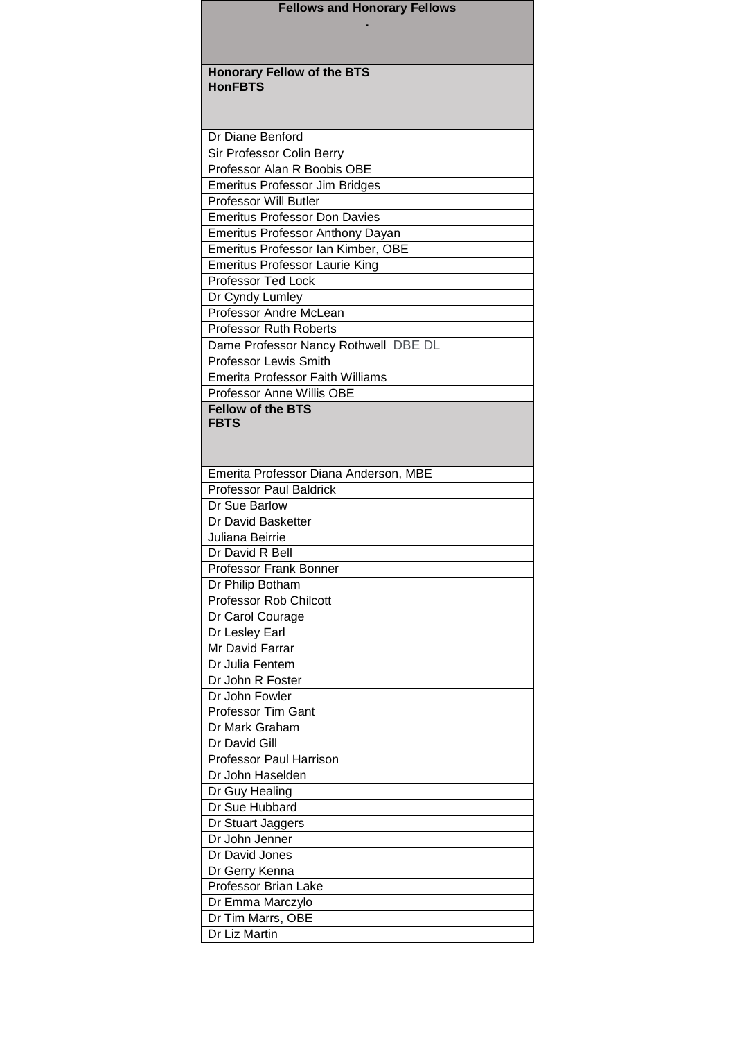| <b>Fellows and Honorary Fellows</b>     |
|-----------------------------------------|
|                                         |
|                                         |
|                                         |
| <b>Honorary Fellow of the BTS</b>       |
| <b>HonFBTS</b>                          |
|                                         |
|                                         |
| Dr Diane Benford                        |
| Sir Professor Colin Berry               |
| Professor Alan R Boobis OBE             |
| <b>Emeritus Professor Jim Bridges</b>   |
| <b>Professor Will Butler</b>            |
| <b>Emeritus Professor Don Davies</b>    |
| <b>Emeritus Professor Anthony Dayan</b> |
| Emeritus Professor Ian Kimber, OBE      |
| <b>Emeritus Professor Laurie King</b>   |
| <b>Professor Ted Lock</b>               |
| Dr Cyndy Lumley                         |
| Professor Andre McLean                  |
| <b>Professor Ruth Roberts</b>           |
| Dame Professor Nancy Rothwell DBE DL    |
| <b>Professor Lewis Smith</b>            |
| <b>Emerita Professor Faith Williams</b> |
| Professor Anne Willis OBE               |
| <b>Fellow of the BTS</b>                |
| <b>FBTS</b>                             |
|                                         |
|                                         |
| Emerita Professor Diana Anderson, MBE   |
| <b>Professor Paul Baldrick</b>          |
| Dr Sue Barlow                           |
| Dr David Basketter                      |
| Juliana Beirrie<br>Dr David R Bell      |
| Professor Frank Bonner                  |
| Dr Philip Botham                        |
| <b>Professor Rob Chilcott</b>           |
| Dr Carol Courage                        |
| Dr Lesley Earl                          |
| Mr David Farrar                         |
| Dr Julia Fentem                         |
| Dr John R Foster                        |
| Dr John Fowler                          |
| <b>Professor Tim Gant</b>               |
| Dr Mark Graham                          |
| Dr David Gill                           |
| <b>Professor Paul Harrison</b>          |
| Dr John Haselden                        |
| Dr Guy Healing                          |
| Dr Sue Hubbard                          |
|                                         |
|                                         |
| Dr Stuart Jaggers                       |
| Dr John Jenner                          |
| Dr David Jones                          |
| Dr Gerry Kenna<br>Professor Brian Lake  |
| Dr Emma Marczylo                        |
| Dr Tim Marrs, OBE                       |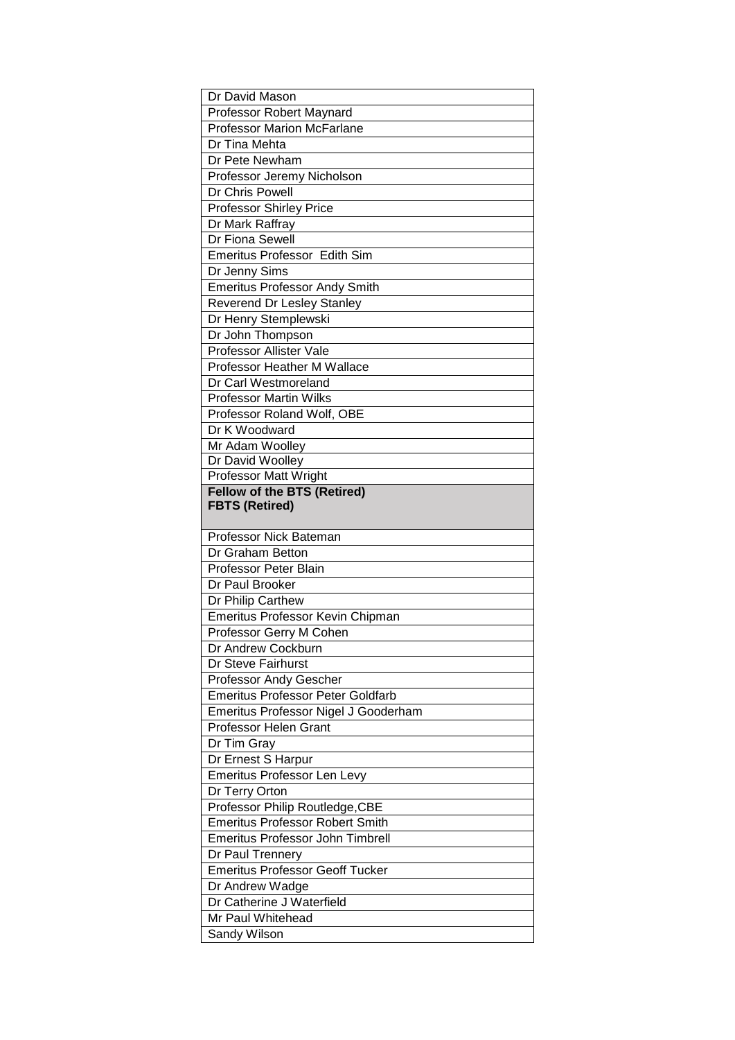| Dr David Mason                                                            |
|---------------------------------------------------------------------------|
| Professor Robert Maynard                                                  |
| <b>Professor Marion McFarlane</b>                                         |
| Dr Tina Mehta                                                             |
| Dr Pete Newham                                                            |
| Professor Jeremy Nicholson                                                |
| Dr Chris Powell                                                           |
| <b>Professor Shirley Price</b>                                            |
| Dr Mark Raffray                                                           |
| Dr Fiona Sewell                                                           |
| Emeritus Professor Edith Sim                                              |
| Dr Jenny Sims                                                             |
| <b>Emeritus Professor Andy Smith</b>                                      |
| Reverend Dr Lesley Stanley                                                |
| Dr Henry Stemplewski                                                      |
| Dr John Thompson                                                          |
| <b>Professor Allister Vale</b>                                            |
| Professor Heather M Wallace                                               |
| Dr Carl Westmoreland                                                      |
| <b>Professor Martin Wilks</b>                                             |
| Professor Roland Wolf, OBE                                                |
| Dr K Woodward                                                             |
| Mr Adam Woolley                                                           |
| Dr David Woolley                                                          |
| <b>Professor Matt Wright</b>                                              |
| <b>Fellow of the BTS (Retired)</b><br><b>FBTS (Retired)</b>               |
|                                                                           |
|                                                                           |
| Professor Nick Bateman                                                    |
| Dr Graham Betton                                                          |
| <b>Professor Peter Blain</b>                                              |
| Dr Paul Brooker                                                           |
| Dr Philip Carthew                                                         |
| Emeritus Professor Kevin Chipman                                          |
| Professor Gerry M Cohen                                                   |
| Dr Andrew Cockburn                                                        |
| Dr Steve Fairhurst                                                        |
| Professor Andy Gescher                                                    |
| <b>Emeritus Professor Peter Goldfarb</b>                                  |
| Emeritus Professor Nigel J Gooderham                                      |
| Professor Helen Grant                                                     |
| Dr Tim Gray                                                               |
| Dr Ernest S Harpur                                                        |
| <b>Emeritus Professor Len Levy</b>                                        |
| Dr Terry Orton                                                            |
|                                                                           |
| Professor Philip Routledge, CBE<br><b>Emeritus Professor Robert Smith</b> |
| <b>Emeritus Professor John Timbrell</b>                                   |
| Dr Paul Trennery                                                          |
| <b>Emeritus Professor Geoff Tucker</b>                                    |
| Dr Andrew Wadge                                                           |
| Dr Catherine J Waterfield                                                 |
| Mr Paul Whitehead                                                         |